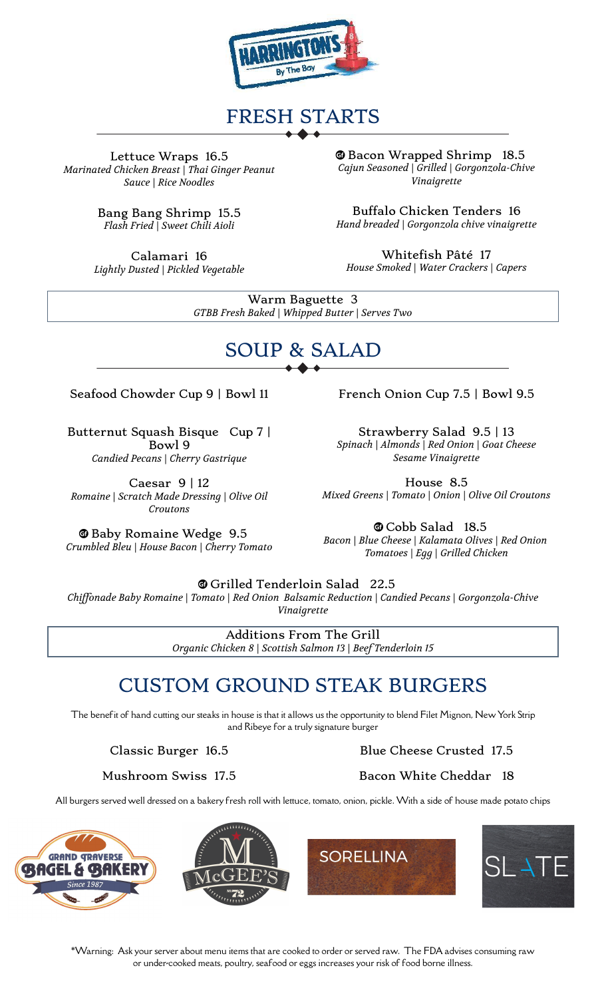

## FRESH STARTS

Lettuce Wraps 16.5 *Marinated Chicken Breast | Thai Ginger Peanut Sauce | Rice Noodles*

> Bang Bang Shrimp 15.5 *Flash Fried | Sweet Chili Aioli*

Calamari 16 *Lightly Dusted | Pickled Vegetable* **Whenevel Shrimp** 18.5 *Cajun Seasoned | Grilled | Gorgonzola-Chive Vinaigrette*

Buffalo Chicken Tenders 16 *Hand breaded | Gorgonzola chive vinaigrette*

Whitefish Pâté 17 *House Smoked | Water Crackers | Capers*

Warm Baguette 3 *GTBB Fresh Baked | Whipped Butter | Serves Two*

# SOUP & SALAD

#### Seafood Chowder Cup 9 | Bowl 11 French Onion Cup 7.5 | Bowl 9.5

Butternut Squash Bisque Cup 7 | Bowl 9 *Candied Pecans | Cherry Gastrique*

Caesar  $9 \mid 12$ *Romaine | Scratch Made Dressing | Olive Oil Croutons*

**E** Baby Romaine Wedge 9.5 *Crumbled Bleu | House Bacon | Cherry Tomato* Strawberry Salad 9.5 | 13

*Sesame Vinaigrette*

House 8.5 *Mixed Greens | Tomato | Onion | Olive Oil Croutons*

© Cobb Salad 18.5

*Bacon | Blue Cheese | Kalamata Olives | Red Onion Tomatoes | Egg | Grilled Chicken*

u Grilled Tenderloin Salad 22.5

*Chiffonade Baby Romaine | Tomato | Red Onion Balsamic Reduction | Candied Pecans | Gorgonzola-Chive Vinaigrette*

> Additions From The Grill *Organic Chicken 8 | Scottish Salmon 13 | Beef Tenderloin 15*

### CUSTOM GROUND STEAK BURGERS

The benefit of hand cutting our steaks in house is that it allows us the opportunity to blend Filet Mignon, New York Strip and Ribeye for a truly signature burger

Classic Burger 16.5 Blue Cheese Crusted 17.5

Mushroom Swiss 17.5 Bacon White Cheddar 18

All burgers served well dressed on a bakery fresh roll with lettuce, tomato, onion, pickle. With a side of house made potato chips



*Spinach | Almonds | Red Onion | Goat Cheese*